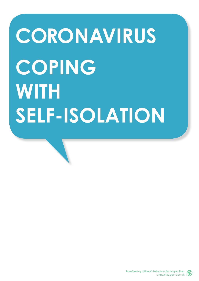# **CORONAVIRUS COPING WITH SELF-ISOLATION**

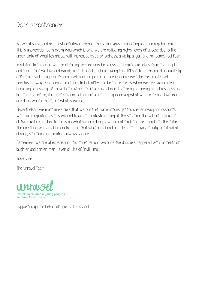#### Dear parent/carer

As we all know, and are most definitely all feeling, the coronavirus is impacting on us on a global scale. This is unprecedented in every way which is why we are activating higher levels of unease due to the uncertaintu of what lies ahead, with increased levels of sadness, anxiety, anger, and for some, real fear.

In addition to the crisis we are all facing, we are now being asked to isolate ourselves from the people and things that we love and would, most definitely, help us during this difficult time. This could undoubtedly affect our well-being. Our freedom will feel compromised. Independence we take for granted will feel taken away. Dependency on others to look after and be there for us when we feel vulnerable is becoming necessary. We have lost routine, structure and choice. That brings a feeling of helplessness and loss too. Therefore, it is perfectly normal and natural to be experiencing what we are feeling. Our brains are doing what is right, not what is wrong.

Nevertheless, we must make sure that we don't let our emotions get too carried away and associate with our imagination, as this will lead to greater catastrophising of the situation. This will not help us at all. We must remember to focus on what we are doing now and not think too far ahead into the future. The one thing we can all be certain of is that what lies ahead has elements of uncertainty, but it will all change; situations and emotions always change.

Remember, we are all experiencing this together and we hope the days are peppered with moments of laughter and contentment, even at this difficult time.

Take care

The Unravel Team



Supporting you on behalf of your child's school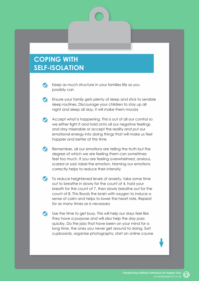#### **COPING WITH SELF-ISOLATION**

- Keep as much structure in your families life as you  $\bullet$ possibly can
- **Conditions** Ensure your family gets plenty of sleep and stick to sensible sleep routines. Discourage your children to stay up all night and sleep all day, it will make them moody
- Accept what is happening. This is out of all our control so we either fight it and hold onto all our negative feelings and stay miserable or accept the reality and put our emotional energy into doing things that will make us feel happier and better at this time
- $\bullet$ Remember, all our emotions are telling the truth but the degree of which we are feeling them can sometimes feel too much. If you are feeling overwhelmed, anxious, scared or sad: label the emotion. Naming our emotions correctly helps to reduce their intensity
- $\bullet$  To reduce heightened levels of anxiety, take some time out to breathe in slowly for the count of 4, hold your breath for the count of 7, then slowly breathe out for the count of 8. This floods the brain with oxygen to induce a sense of calm and helps to lower the heart rate. Repeat for as many times as is necessary
- Use the time to get busy. This will help our days feel like they have a purpose and will also help the day pass quickly. Do the jobs that have been on your mind for a long time, the ones you never get around to doing. Sort cupboards, organise photographs, start an online course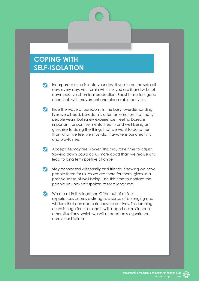#### **COPING WITH SELF-ISOLATION**

- Incorporate exercise into your day. If you lie on the sofa all day, every day, your brain will think you are ill and will shut down positive chemical production. Boost those feel good chemicals with movement and pleasurable activities
- Ride the wave of boredom. In the busy, overdemanding lives we all lead, boredom is often an emotion that many people yearn but rarely experience. Feeling bored is important for positive mental health and well-being as it gives rise to doing the things that we want to do rather than what we feel we must do. It awakens our creativity and playfulness
- Accept life may feel slower. This may take time to adjust. Slowing down could do us more good than we realise and lead to long term positive change
- Stay connected with family and friends. Knowing we have people there for us, as we are there for them, gives us a positive sense of well-being. Use this time to contact the people you haven't spoken to for a long time
- We are all in this together. Often out of difficult experiences comes a strength, a sense of belonging and wisdom that can add a richness to our lives. This learning curve is huge for us all and it will support our resilience in other situations, which we will undoubtedly experience across our lifetime